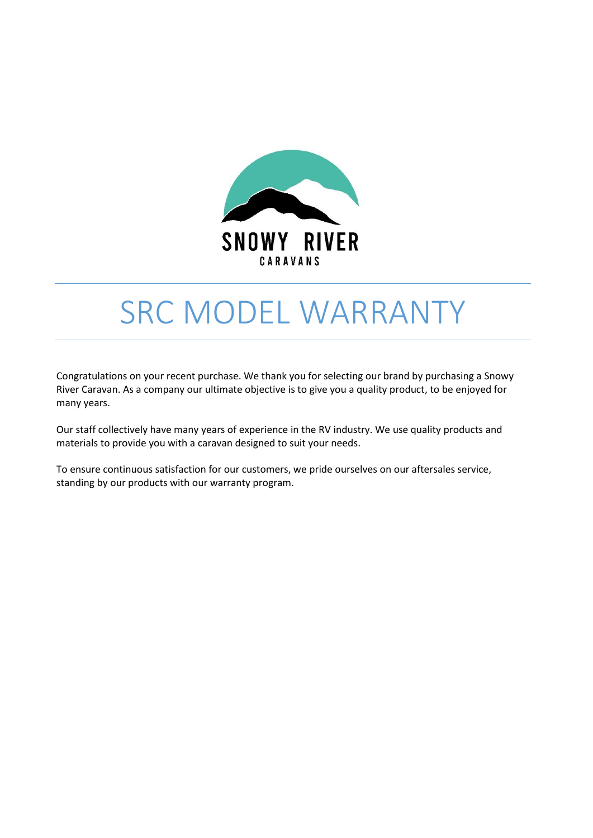

# SRC MODEL WARRANTY

Congratulations on your recent purchase. We thank you for selecting our brand by purchasing a Snowy River Caravan. As a company our ultimate objective is to give you a quality product, to be enjoyed for many years.

Our staff collectively have many years of experience in the RV industry. We use quality products and materials to provide you with a caravan designed to suit your needs.

To ensure continuous satisfaction for our customers, we pride ourselves on our aftersales service, standing by our products with our warranty program.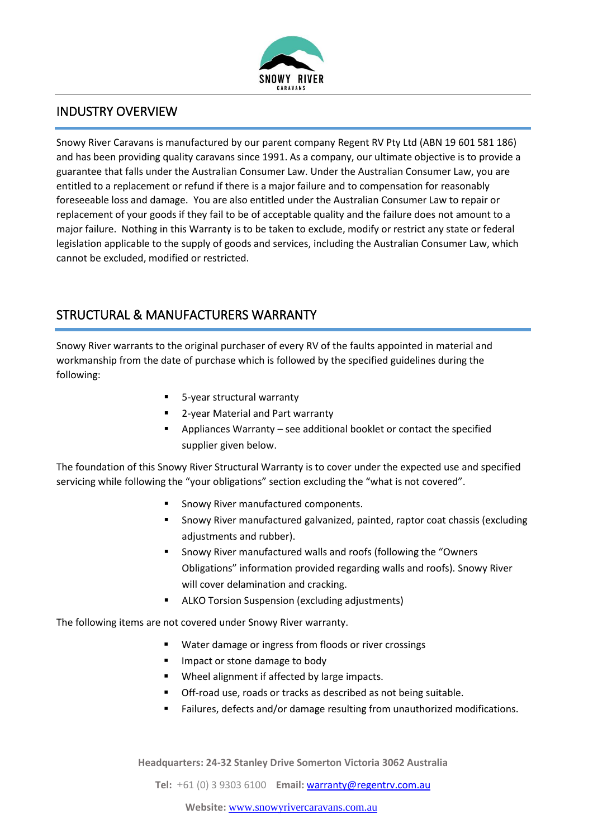

### INDUSTRY OVERVIEW

Snowy River Caravans is manufactured by our parent company Regent RV Pty Ltd (ABN 19 601 581 186) and has been providing quality caravans since 1991. As a company, our ultimate objective is to provide a guarantee that falls under the Australian Consumer Law. Under the Australian Consumer Law, you are entitled to a replacement or refund if there is a major failure and to compensation for reasonably foreseeable loss and damage. You are also entitled under the Australian Consumer Law to repair or replacement of your goods if they fail to be of acceptable quality and the failure does not amount to a major failure. Nothing in this Warranty is to be taken to exclude, modify or restrict any state or federal legislation applicable to the supply of goods and services, including the Australian Consumer Law, which cannot be excluded, modified or restricted.

## STRUCTURAL & MANUFACTURERS WARRANTY

Snowy River warrants to the original purchaser of every RV of the faults appointed in material and workmanship from the date of purchase which is followed by the specified guidelines during the following:

- 5-year structural warranty
- 2-year Material and Part warranty
- Appliances Warranty see additional booklet or contact the specified supplier given below.

The foundation of this Snowy River Structural Warranty is to cover under the expected use and specified servicing while following the "your obligations" section excluding the "what is not covered".

- Snowy River manufactured components.
- Snowy River manufactured galvanized, painted, raptor coat chassis (excluding adjustments and rubber).
- Snowy River manufactured walls and roofs (following the "Owners" Obligations" information provided regarding walls and roofs). Snowy River will cover delamination and cracking.
- ALKO Torsion Suspension (excluding adjustments)

The following items are not covered under Snowy River warranty.

- Water damage or ingress from floods or river crossings
- Impact or stone damage to body
- Wheel alignment if affected by large impacts.
- Off-road use, roads or tracks as described as not being suitable.
- Failures, defects and/or damage resulting from unauthorized modifications.

**Headquarters: 24-32 Stanley Drive Somerton Victoria 3062 Australia**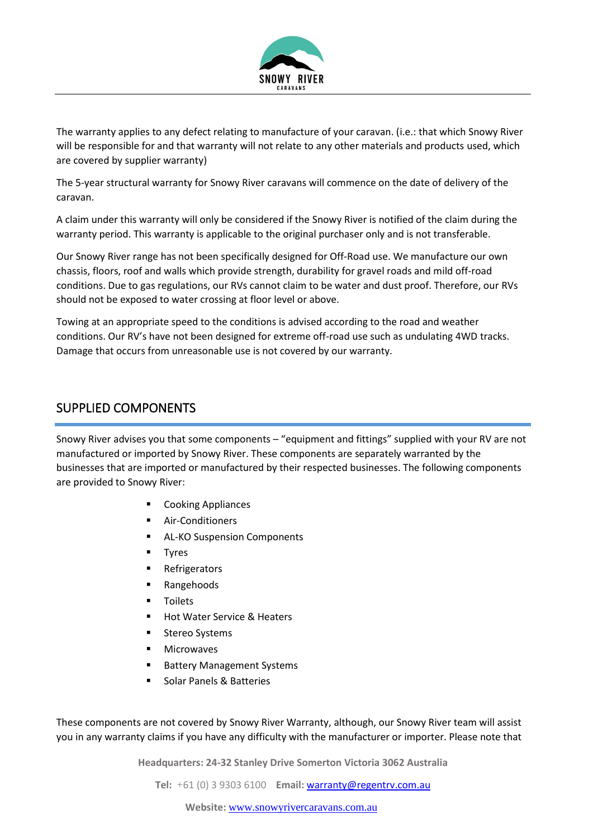

The warranty applies to any defect relating to manufacture of your caravan. (i.e.: that which Snowy River will be responsible for and that warranty will not relate to any other materials and products used, which are covered by supplier warranty)

The 5-year structural warranty for Snowy River caravans will commence on the date of delivery of the caravan.

A claim under this warranty will only be considered if the Snowy River is notified of the claim during the warranty period. This warranty is applicable to the original purchaser only and is not transferable.

Our Snowy River range has not been specifically designed for Off-Road use. We manufacture our own chassis, floors, roof and walls which provide strength, durability for gravel roads and mild off-road conditions. Due to gas regulations, our RVs cannot claim to be water and dust proof. Therefore, our RVs should not be exposed to water crossing at floor level or above.

Towing at an appropriate speed to the conditions is advised according to the road and weather conditions. Our RV's have not been designed for extreme off-road use such as undulating 4WD tracks. Damage that occurs from unreasonable use is not covered by our warranty.

#### SUPPLIED COMPONENTS

Snowy River advises you that some components – "equipment and fittings" supplied with your RV are not manufactured or imported by Snowy River. These components are separately warranted by the businesses that are imported or manufactured by their respected businesses. The following components are provided to Snowy River:

- **Cooking Appliances**
- Air-Conditioners
- AL-KO Suspension Components
- **Tyres**
- **Refrigerators**
- **Rangehoods**
- **Toilets**
- **Hot Water Service & Heaters**
- Stereo Systems
- **Microwaves**
- **Battery Management Systems**
- Solar Panels & Batteries

These components are not covered by Snowy River Warranty, although, our Snowy River team will assist you in any warranty claims if you have any difficulty with the manufacturer or importer. Please note that

**Headquarters: 24-32 Stanley Drive Somerton Victoria 3062 Australia**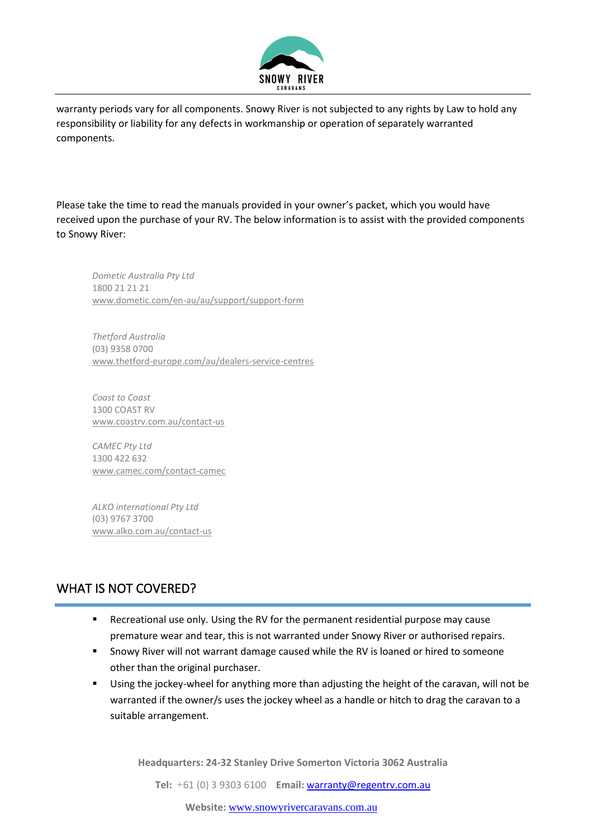

warranty periods vary for all components. Snowy River is not subjected to any rights by Law to hold any responsibility or liability for any defects in workmanship or operation of separately warranted components.

Please take the time to read the manuals provided in your owner's packet, which you would have received upon the purchase of your RV. The below information is to assist with the provided components to Snowy River:

*Dometic Australia Pty Ltd*  1800 21 21 21 [www.dometic.com/en-au/au/support/support-form](http://www.dometic.com/en-au/au/support/support-form)

*Thetford Australia*  (03) 9358 0700 [www.thetford-europe.com/au/dealers-service-centres](http://www.thetford-europe.com/au/dealers-service-centres)

*Coast to Coast*  1300 COAST RV [www.coastrv.com.au/contact-us](http://www.coastrv.com.au/contact-us)

*CAMEC Pty Ltd*  1300 422 632 [www.camec.com/contact-camec](http://www.camec.com/contact-camec)

*ALKO international Pty Ltd*  (03) 9767 3700 [www.alko.com.au/contact-us](http://www.alko.com.au/contact-us)

#### WHAT IS NOT COVERED?

- Recreational use only. Using the RV for the permanent residential purpose may cause premature wear and tear, this is not warranted under Snowy River or authorised repairs.
- Snowy River will not warrant damage caused while the RV is loaned or hired to someone other than the original purchaser.
- Using the jockey-wheel for anything more than adjusting the height of the caravan, will not be warranted if the owner/s uses the jockey wheel as a handle or hitch to drag the caravan to a suitable arrangement.

**Headquarters: 24-32 Stanley Drive Somerton Victoria 3062 Australia**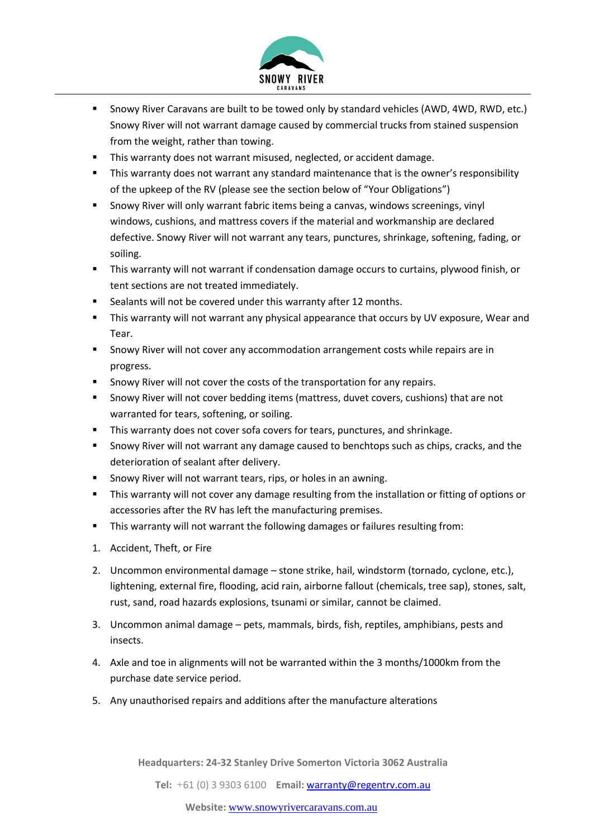

- Snowy River Caravans are built to be towed only by standard vehicles (AWD, 4WD, RWD, etc.) Snowy River will not warrant damage caused by commercial trucks from stained suspension from the weight, rather than towing.
- This warranty does not warrant misused, neglected, or accident damage.
- This warranty does not warrant any standard maintenance that is the owner's responsibility of the upkeep of the RV (please see the section below of "Your Obligations")
- **E** Snowy River will only warrant fabric items being a canvas, windows screenings, vinyl windows, cushions, and mattress covers if the material and workmanship are declared defective. Snowy River will not warrant any tears, punctures, shrinkage, softening, fading, or soiling.
- This warranty will not warrant if condensation damage occurs to curtains, plywood finish, or tent sections are not treated immediately.
- Sealants will not be covered under this warranty after 12 months.
- **This warranty will not warrant any physical appearance that occurs by UV exposure, Wear and** Tear.
- Snowy River will not cover any accommodation arrangement costs while repairs are in progress.
- Snowy River will not cover the costs of the transportation for any repairs.
- Snowy River will not cover bedding items (mattress, duvet covers, cushions) that are not warranted for tears, softening, or soiling.
- This warranty does not cover sofa covers for tears, punctures, and shrinkage.
- Snowy River will not warrant any damage caused to benchtops such as chips, cracks, and the deterioration of sealant after delivery.
- Snowy River will not warrant tears, rips, or holes in an awning.
- This warranty will not cover any damage resulting from the installation or fitting of options or accessories after the RV has left the manufacturing premises.
- This warranty will not warrant the following damages or failures resulting from:
- 1. Accident, Theft, or Fire
- 2. Uncommon environmental damage stone strike, hail, windstorm (tornado, cyclone, etc.), lightening, external fire, flooding, acid rain, airborne fallout (chemicals, tree sap), stones, salt, rust, sand, road hazards explosions, tsunami or similar, cannot be claimed.
- 3. Uncommon animal damage pets, mammals, birds, fish, reptiles, amphibians, pests and insects.
- 4. Axle and toe in alignments will not be warranted within the 3 months/1000km from the purchase date service period.
- 5. Any unauthorised repairs and additions after the manufacture alterations

**Headquarters: 24-32 Stanley Drive Somerton Victoria 3062 Australia**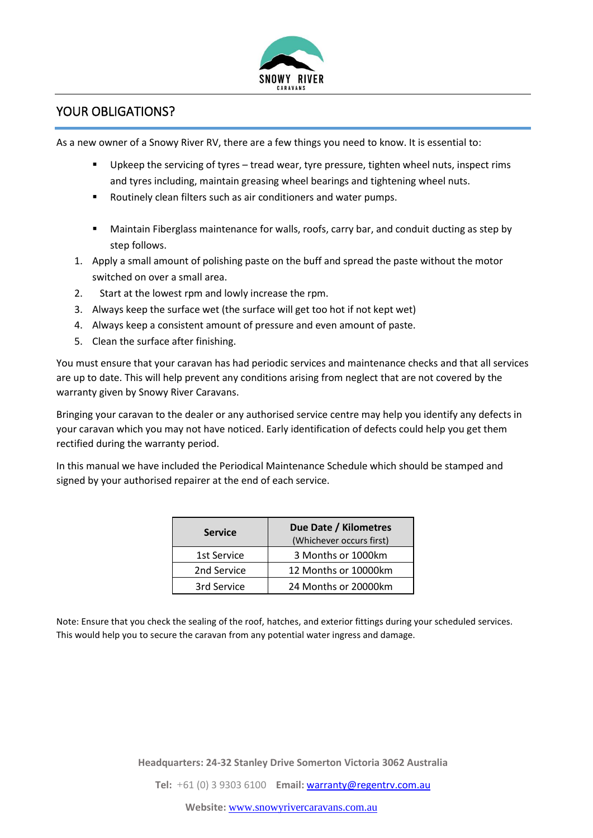

#### YOUR OBLIGATIONS?

As a new owner of a Snowy River RV, there are a few things you need to know. It is essential to:

- Upkeep the servicing of tyres tread wear, tyre pressure, tighten wheel nuts, inspect rims and tyres including, maintain greasing wheel bearings and tightening wheel nuts.
- Routinely clean filters such as air conditioners and water pumps.
- Maintain Fiberglass maintenance for walls, roofs, carry bar, and conduit ducting as step by step follows.
- 1. Apply a small amount of polishing paste on the buff and spread the paste without the motor switched on over a small area.
- 2. Start at the lowest rpm and lowly increase the rpm.
- 3. Always keep the surface wet (the surface will get too hot if not kept wet)
- 4. Always keep a consistent amount of pressure and even amount of paste.
- 5. Clean the surface after finishing.

You must ensure that your caravan has had periodic services and maintenance checks and that all services are up to date. This will help prevent any conditions arising from neglect that are not covered by the warranty given by Snowy River Caravans.

Bringing your caravan to the dealer or any authorised service centre may help you identify any defects in your caravan which you may not have noticed. Early identification of defects could help you get them rectified during the warranty period.

In this manual we have included the Periodical Maintenance Schedule which should be stamped and signed by your authorised repairer at the end of each service.

| <b>Service</b> | Due Date / Kilometres<br>(Whichever occurs first) |  |
|----------------|---------------------------------------------------|--|
| 1st Service    | 3 Months or 1000km                                |  |
| 2nd Service    | 12 Months or 10000km                              |  |
| 3rd Service    | 24 Months or 20000km                              |  |

Note: Ensure that you check the sealing of the roof, hatches, and exterior fittings during your scheduled services. This would help you to secure the caravan from any potential water ingress and damage.

**Headquarters: 24-32 Stanley Drive Somerton Victoria 3062 Australia**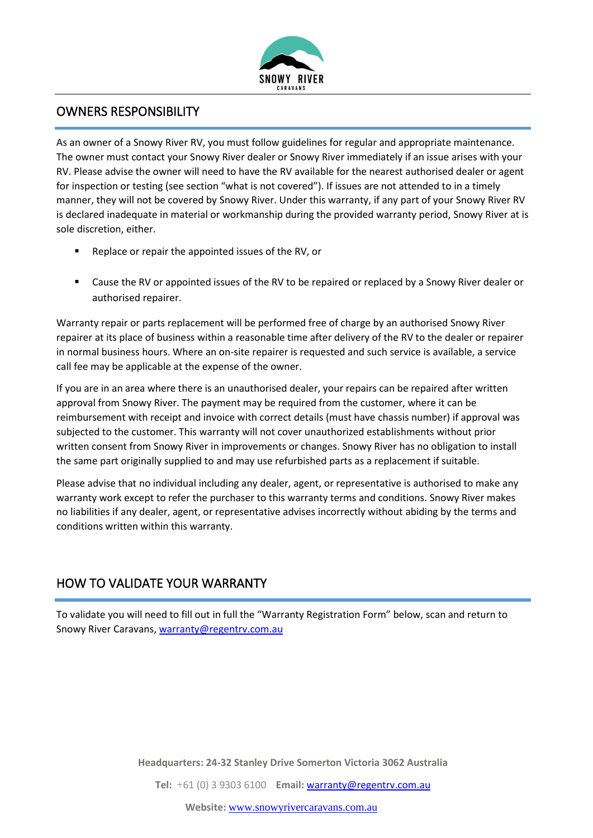

### OWNERS RESPONSIBILITY

As an owner of a Snowy River RV, you must follow guidelines for regular and appropriate maintenance. The owner must contact your Snowy River dealer or Snowy River immediately if an issue arises with your RV. Please advise the owner will need to have the RV available for the nearest authorised dealer or agent for inspection or testing (see section "what is not covered"). If issues are not attended to in a timely manner, they will not be covered by Snowy River. Under this warranty, if any part of your Snowy River RV is declared inadequate in material or workmanship during the provided warranty period, Snowy River at is sole discretion, either.

- Replace or repair the appointed issues of the RV, or
- Cause the RV or appointed issues of the RV to be repaired or replaced by a Snowy River dealer or authorised repairer.

Warranty repair or parts replacement will be performed free of charge by an authorised Snowy River repairer at its place of business within a reasonable time after delivery of the RV to the dealer or repairer in normal business hours. Where an on-site repairer is requested and such service is available, a service call fee may be applicable at the expense of the owner.

If you are in an area where there is an unauthorised dealer, your repairs can be repaired after written approval from Snowy River. The payment may be required from the customer, where it can be reimbursement with receipt and invoice with correct details (must have chassis number) if approval was subjected to the customer. This warranty will not cover unauthorized establishments without prior written consent from Snowy River in improvements or changes. Snowy River has no obligation to install the same part originally supplied to and may use refurbished parts as a replacement if suitable.

Please advise that no individual including any dealer, agent, or representative is authorised to make any warranty work except to refer the purchaser to this warranty terms and conditions. Snowy River makes no liabilities if any dealer, agent, or representative advises incorrectly without abiding by the terms and conditions written within this warranty.

# HOW TO VALIDATE YOUR WARRANTY

To validate you will need to fill out in full the "Warranty Registration Form" below, scan and return to Snowy River Caravans[, warranty@regentrv.com.au](mailto:warranty@regentrv.com.au)

**Headquarters: 24-32 Stanley Drive Somerton Victoria 3062 Australia**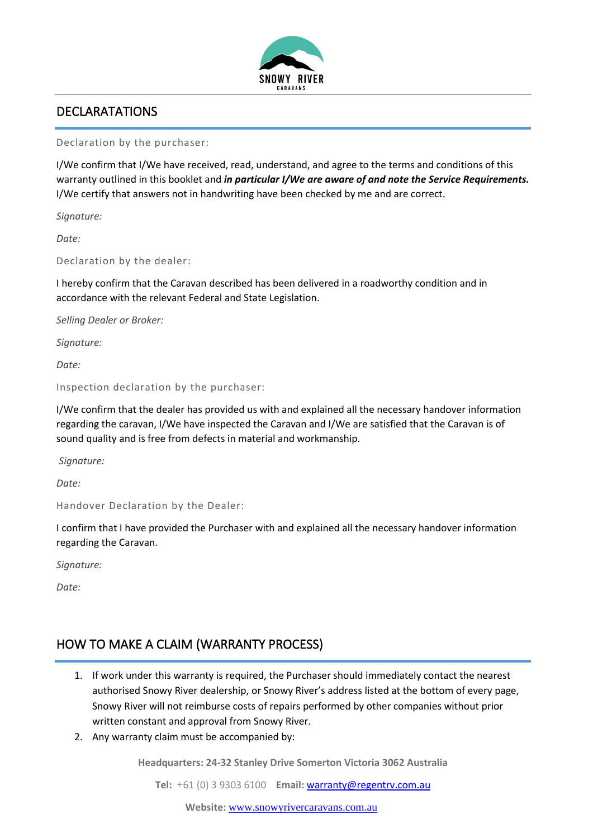

## DECLARATATIONS

Declaration by the purchaser:

I/We confirm that I/We have received, read, understand, and agree to the terms and conditions of this warranty outlined in this booklet and *in particular I/We are aware of and note the Service Requirements.* I/We certify that answers not in handwriting have been checked by me and are correct.

*Signature:*

*Date:*

Declaration by the dealer:

I hereby confirm that the Caravan described has been delivered in a roadworthy condition and in accordance with the relevant Federal and State Legislation.

*Selling Dealer or Broker:*

*Signature:*

*Date:*

Inspection declaration by the purchaser:

I/We confirm that the dealer has provided us with and explained all the necessary handover information regarding the caravan, I/We have inspected the Caravan and I/We are satisfied that the Caravan is of sound quality and is free from defects in material and workmanship.

*Signature:*

*Date:*

Handover Declaration by the Dealer:

I confirm that I have provided the Purchaser with and explained all the necessary handover information regarding the Caravan.

*Signature:*

*Date:*

# HOW TO MAKE A CLAIM (WARRANTY PROCESS)

- 1. If work under this warranty is required, the Purchaser should immediately contact the nearest authorised Snowy River dealership, or Snowy River's address listed at the bottom of every page, Snowy River will not reimburse costs of repairs performed by other companies without prior written constant and approval from Snowy River.
- 2. Any warranty claim must be accompanied by:

**Headquarters: 24-32 Stanley Drive Somerton Victoria 3062 Australia**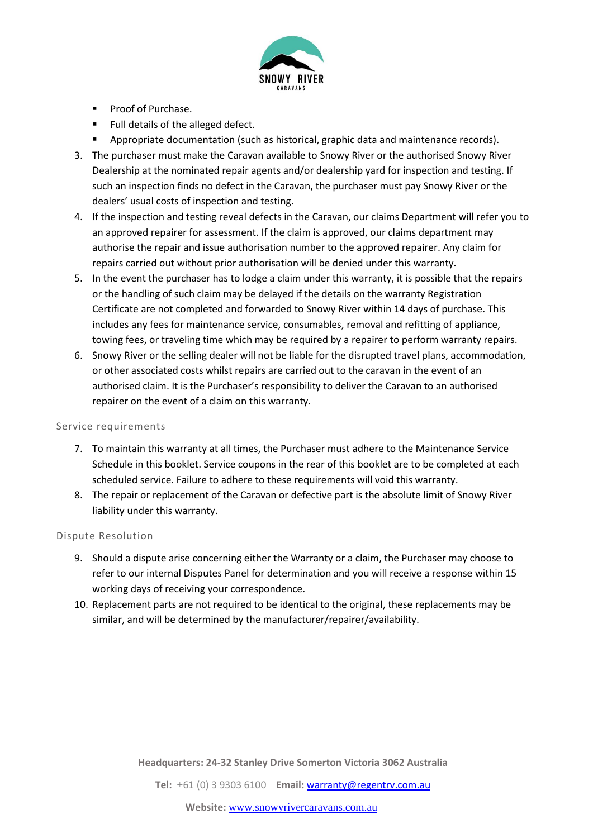

- Proof of Purchase.
- Full details of the alleged defect.
- Appropriate documentation (such as historical, graphic data and maintenance records).
- 3. The purchaser must make the Caravan available to Snowy River or the authorised Snowy River Dealership at the nominated repair agents and/or dealership yard for inspection and testing. If such an inspection finds no defect in the Caravan, the purchaser must pay Snowy River or the dealers' usual costs of inspection and testing.
- 4. If the inspection and testing reveal defects in the Caravan, our claims Department will refer you to an approved repairer for assessment. If the claim is approved, our claims department may authorise the repair and issue authorisation number to the approved repairer. Any claim for repairs carried out without prior authorisation will be denied under this warranty.
- 5. In the event the purchaser has to lodge a claim under this warranty, it is possible that the repairs or the handling of such claim may be delayed if the details on the warranty Registration Certificate are not completed and forwarded to Snowy River within 14 days of purchase. This includes any fees for maintenance service, consumables, removal and refitting of appliance, towing fees, or traveling time which may be required by a repairer to perform warranty repairs.
- 6. Snowy River or the selling dealer will not be liable for the disrupted travel plans, accommodation, or other associated costs whilst repairs are carried out to the caravan in the event of an authorised claim. It is the Purchaser's responsibility to deliver the Caravan to an authorised repairer on the event of a claim on this warranty.

#### Service requirements

- 7. To maintain this warranty at all times, the Purchaser must adhere to the Maintenance Service Schedule in this booklet. Service coupons in the rear of this booklet are to be completed at each scheduled service. Failure to adhere to these requirements will void this warranty.
- 8. The repair or replacement of the Caravan or defective part is the absolute limit of Snowy River liability under this warranty.

#### Dispute Resolution

- 9. Should a dispute arise concerning either the Warranty or a claim, the Purchaser may choose to refer to our internal Disputes Panel for determination and you will receive a response within 15 working days of receiving your correspondence.
- 10. Replacement parts are not required to be identical to the original, these replacements may be similar, and will be determined by the manufacturer/repairer/availability.

**Headquarters: 24-32 Stanley Drive Somerton Victoria 3062 Australia**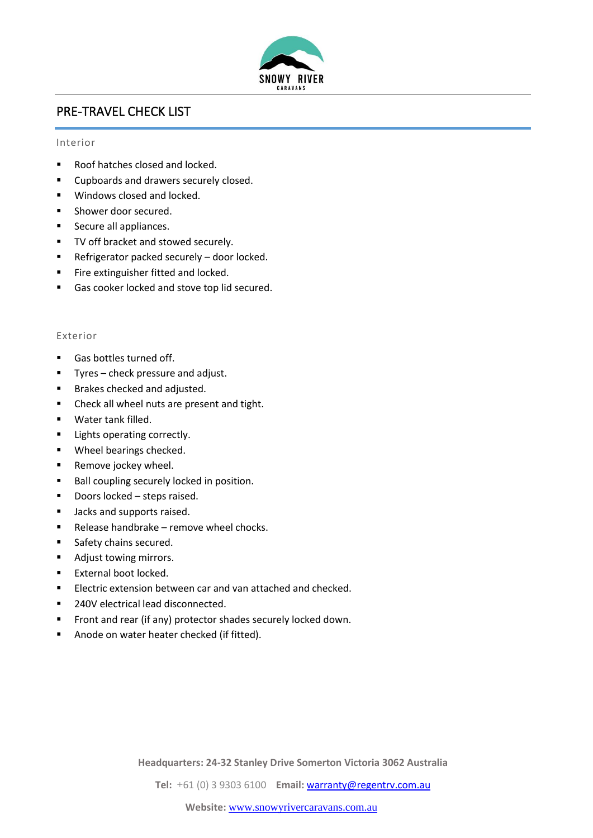

## PRE-TRAVEL CHECK LIST

#### Interior

- Roof hatches closed and locked.
- Cupboards and drawers securely closed.
- Windows closed and locked.
- Shower door secured.
- Secure all appliances.
- TV off bracket and stowed securely.
- Refrigerator packed securely door locked.
- **■** Fire extinguisher fitted and locked.
- Gas cooker locked and stove top lid secured.

#### Exterior

- Gas bottles turned off.
- Tyres check pressure and adjust.
- Brakes checked and adjusted.
- Check all wheel nuts are present and tight.
- Water tank filled.
- Lights operating correctly.
- Wheel bearings checked.
- Remove jockey wheel.
- Ball coupling securely locked in position.
- Doors locked steps raised.
- Jacks and supports raised.
- Release handbrake remove wheel chocks.
- Safety chains secured.
- Adjust towing mirrors.
- External boot locked.
- Electric extension between car and van attached and checked.
- 240V electrical lead disconnected.
- Front and rear (if any) protector shades securely locked down.
- Anode on water heater checked (if fitted).

**Headquarters: 24-32 Stanley Drive Somerton Victoria 3062 Australia**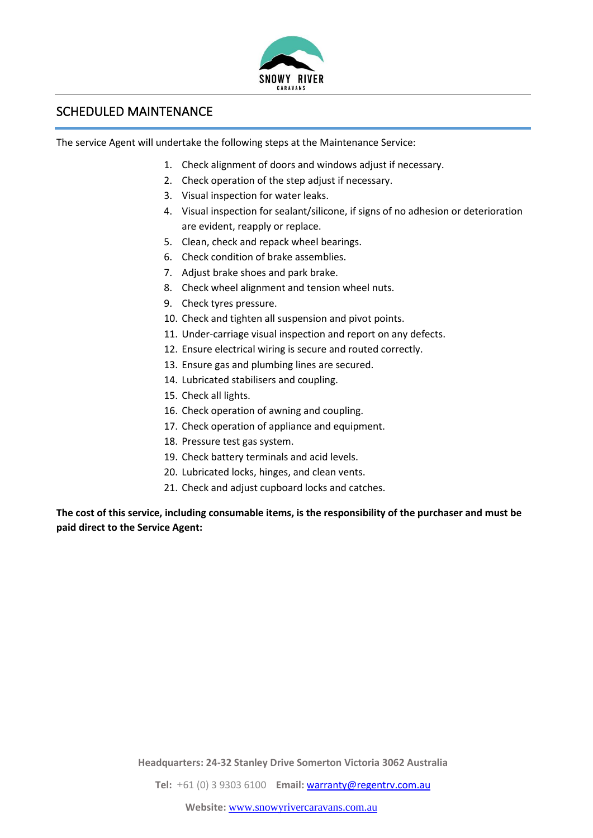

#### SCHEDULED MAINTENANCE

The service Agent will undertake the following steps at the Maintenance Service:

- 1. Check alignment of doors and windows adjust if necessary.
- 2. Check operation of the step adjust if necessary.
- 3. Visual inspection for water leaks.
- 4. Visual inspection for sealant/silicone, if signs of no adhesion or deterioration are evident, reapply or replace.
- 5. Clean, check and repack wheel bearings.
- 6. Check condition of brake assemblies.
- 7. Adjust brake shoes and park brake.
- 8. Check wheel alignment and tension wheel nuts.
- 9. Check tyres pressure.
- 10. Check and tighten all suspension and pivot points.
- 11. Under-carriage visual inspection and report on any defects.
- 12. Ensure electrical wiring is secure and routed correctly.
- 13. Ensure gas and plumbing lines are secured.
- 14. Lubricated stabilisers and coupling.
- 15. Check all lights.
- 16. Check operation of awning and coupling.
- 17. Check operation of appliance and equipment.
- 18. Pressure test gas system.
- 19. Check battery terminals and acid levels.
- 20. Lubricated locks, hinges, and clean vents.
- 21. Check and adjust cupboard locks and catches.

**The cost of this service, including consumable items, is the responsibility of the purchaser and must be paid direct to the Service Agent:**

**Headquarters: 24-32 Stanley Drive Somerton Victoria 3062 Australia**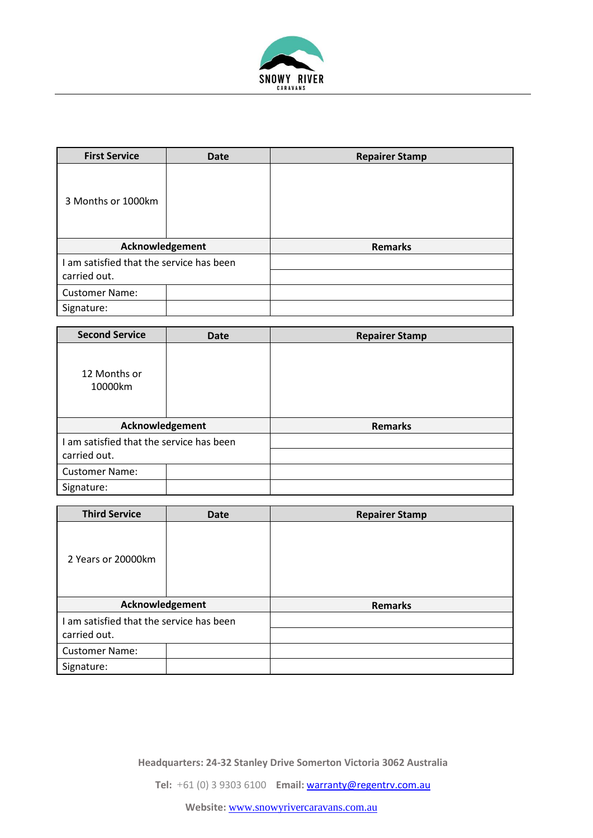

| <b>First Service</b>                     | <b>Date</b> | <b>Repairer Stamp</b> |
|------------------------------------------|-------------|-----------------------|
| 3 Months or 1000km                       |             |                       |
| Acknowledgement                          |             | <b>Remarks</b>        |
| I am satisfied that the service has been |             |                       |
| carried out.                             |             |                       |
| <b>Customer Name:</b>                    |             |                       |
| Signature:                               |             |                       |

| <b>Second Service</b>                    | <b>Date</b> | <b>Repairer Stamp</b> |
|------------------------------------------|-------------|-----------------------|
| 12 Months or<br>10000km                  |             |                       |
| Acknowledgement                          |             | <b>Remarks</b>        |
| I am satisfied that the service has been |             |                       |
| carried out.                             |             |                       |
| <b>Customer Name:</b>                    |             |                       |
| Signature:                               |             |                       |

| <b>Third Service</b>                     | <b>Date</b> | <b>Repairer Stamp</b> |
|------------------------------------------|-------------|-----------------------|
| 2 Years or 20000km                       |             |                       |
| Acknowledgement                          |             | <b>Remarks</b>        |
| I am satisfied that the service has been |             |                       |
| carried out.                             |             |                       |
| <b>Customer Name:</b>                    |             |                       |
| Signature:                               |             |                       |

**Headquarters: 24-32 Stanley Drive Somerton Victoria 3062 Australia**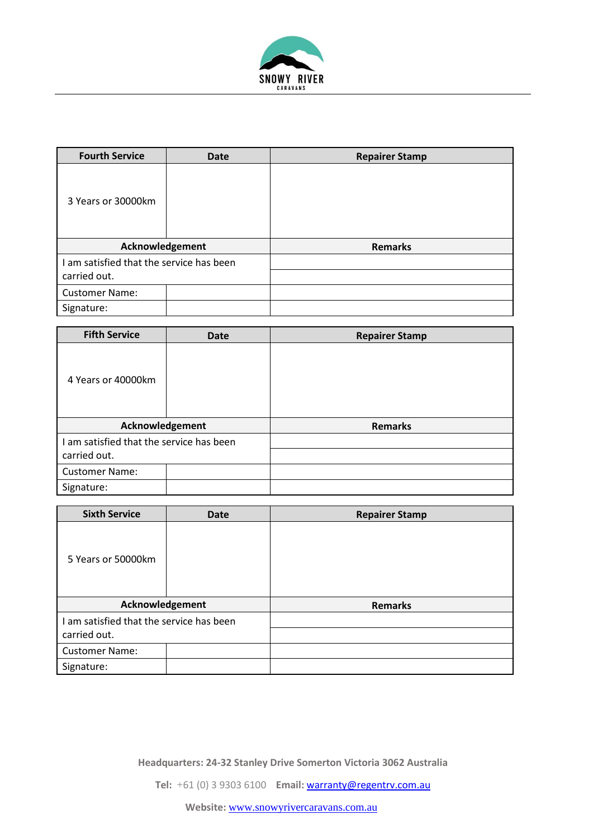

| <b>Fourth Service</b>                    | <b>Date</b> | <b>Repairer Stamp</b> |
|------------------------------------------|-------------|-----------------------|
| 3 Years or 30000km                       |             |                       |
| Acknowledgement                          |             | <b>Remarks</b>        |
| I am satisfied that the service has been |             |                       |
| carried out.                             |             |                       |
| <b>Customer Name:</b>                    |             |                       |
| Signature:                               |             |                       |

| <b>Fifth Service</b>                     | <b>Date</b> | <b>Repairer Stamp</b> |
|------------------------------------------|-------------|-----------------------|
| 4 Years or 40000km                       |             |                       |
| Acknowledgement                          |             | <b>Remarks</b>        |
| I am satisfied that the service has been |             |                       |
| carried out.                             |             |                       |
| <b>Customer Name:</b>                    |             |                       |
| Signature:                               |             |                       |

| <b>Sixth Service</b>                     | <b>Date</b> | <b>Repairer Stamp</b> |
|------------------------------------------|-------------|-----------------------|
| 5 Years or 50000km                       |             |                       |
| Acknowledgement                          |             | <b>Remarks</b>        |
| I am satisfied that the service has been |             |                       |
| carried out.                             |             |                       |
| <b>Customer Name:</b>                    |             |                       |
| Signature:                               |             |                       |

**Headquarters: 24-32 Stanley Drive Somerton Victoria 3062 Australia**